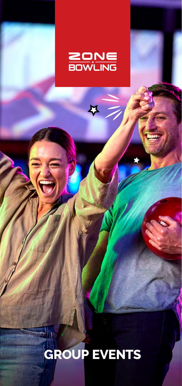

Ķ

## **GROUP EVENTS**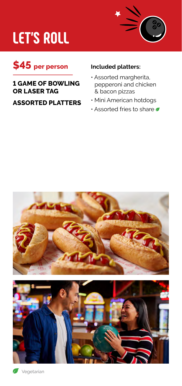## **LET'S ROLL**





## **1 GAME OF BOWLING OR LASER TAG**

**ASSORTED PLATTERS**

### **Included platters:**

- Assorted margherita, pepperoni and chicken & bacon pizzas
- Mini American hotdogs
- Assorted fries to share



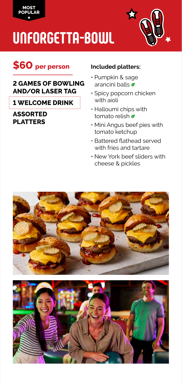

## **UNFORGETTA-BOWL**



## **\$60 per person**

### **2 GAMES OF BOWLING AND/OR LASER TAG**

**1 WELCOME DRINK**

**ASSORTED PLATTERS**

### **Included platters:**

- Pumpkin & sage arancini balls
- Spicy popcorn chicken with aioli
- Halloumi chips with tomato relish
- Mini Angus beef pies with tomato ketchup
- Battered flathead served with fries and tartare
- New York beef sliders with cheese & pickles



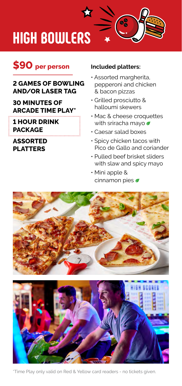## **HIGH BOWLERS**

## **\$90 per person**

### **2 GAMES OF BOWLING AND/OR LASER TAG**

**30 MINUTES OF ARCADE TIME PLAY\***

#### **1 HOUR DRINK PACKAGE**

### **ASSORTED PLATTERS**

#### **Included platters:**

• Assorted margherita, pepperoni and chicken & bacon pizzas

Co<sub>o</sub>

- Grilled prosciutto & halloumi skewers
- Mac & cheese croquettes with sriracha mayo
- Caesar salad boxes
- Spicy chicken tacos with Pico de Gallo and coriander
- Pulled beef brisket sliders with slaw and spicy mayo
- Mini apple & cinnamon pies





\*Time Play only valid on Red & Yellow card readers - no tickets given.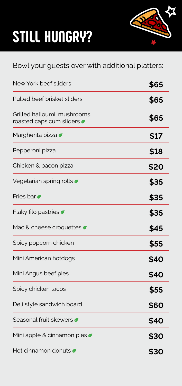# **STILL HUNGRY?**



## Bowl your guests over with additional platters:

| New York beef sliders                                    | \$65 |
|----------------------------------------------------------|------|
| Pulled beef brisket sliders                              | \$65 |
| Grilled halloumi, mushrooms,<br>roasted capsicum sliders | \$65 |
| Margherita pizza                                         | \$17 |
| Pepperoni pizza                                          | \$18 |
| Chicken & bacon pizza                                    | \$20 |
| Vegetarian spring rolls $\bullet$                        | \$35 |
| Fries bar <b>7</b>                                       | \$35 |
| Flaky filo pastries $\sigma$                             | \$35 |
| Mac & cheese croquettes                                  | \$45 |
| Spicy popcorn chicken                                    | \$55 |
| Mini American hotdogs                                    | \$40 |
| Mini Angus beef pies                                     | \$40 |
| Spicy chicken tacos                                      | \$55 |
| Deli style sandwich board                                | \$60 |
| Seasonal fruit skewers                                   | \$40 |
| Mini apple & cinnamon pies                               | \$30 |
| Hot cinnamon donuts $\sigma$                             | \$30 |